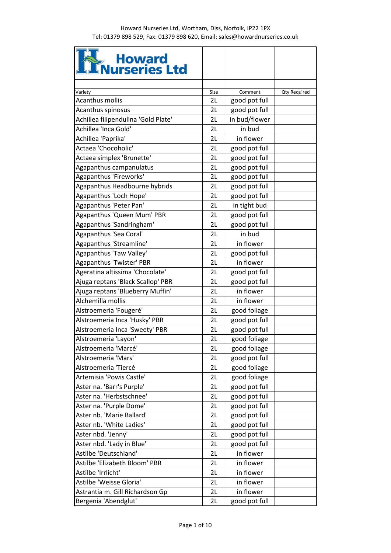| <b>Reduction Howard</b><br><b>Reduction Reduction</b> |          |               |                     |
|-------------------------------------------------------|----------|---------------|---------------------|
|                                                       |          |               |                     |
| Variety                                               | Size     | Comment       | <b>Qty Required</b> |
| <b>Acanthus mollis</b>                                | 2L       | good pot full |                     |
| Acanthus spinosus                                     | 2L       | good pot full |                     |
| Achillea filipendulina 'Gold Plate'                   | 2L       | in bud/flower |                     |
| Achillea 'Inca Gold'                                  | 2L       | in bud        |                     |
| Achillea 'Paprika'                                    | 2L       | in flower     |                     |
| Actaea 'Chocoholic'                                   | 2L       | good pot full |                     |
| Actaea simplex 'Brunette'                             | 2L       | good pot full |                     |
| Agapanthus campanulatus                               | 2L       | good pot full |                     |
| Agapanthus 'Fireworks'                                | 2L       | good pot full |                     |
| Agapanthus Headbourne hybrids                         | 2L       | good pot full |                     |
| Agapanthus 'Loch Hope'                                | 2L       | good pot full |                     |
| Agapanthus 'Peter Pan'                                | 2L       | in tight bud  |                     |
| Agapanthus 'Queen Mum' PBR                            | 2L       | good pot full |                     |
| Agapanthus 'Sandringham'                              | 2L       | good pot full |                     |
| Agapanthus 'Sea Coral'                                | 2L       | in bud        |                     |
| Agapanthus 'Streamline'                               | 2L       | in flower     |                     |
| Agapanthus 'Taw Valley'                               | 2L       | good pot full |                     |
| Agapanthus 'Twister' PBR                              | 2L       | in flower     |                     |
| Ageratina altissima 'Chocolate'                       | 2L       | good pot full |                     |
| Ajuga reptans 'Black Scallop' PBR                     | 2L       | good pot full |                     |
| Ajuga reptans 'Blueberry Muffin'                      | 2L       | in flower     |                     |
| Alchemilla mollis                                     | 2L       | in flower     |                     |
| Alstroemeria 'Fougeré'                                | 2L       | good foliage  |                     |
| Alstroemeria Inca 'Husky' PBR                         | 2L       | good pot full |                     |
| Alstroemeria Inca 'Sweety' PBR                        | 2L       | good pot full |                     |
| Alstroemeria 'Layon'                                  | 2L       | good foliage  |                     |
| Alstroemeria 'Marcé'                                  | 2L       | good foliage  |                     |
| Alstroemeria 'Mars'                                   | 2L       | good pot full |                     |
| Alstroemeria 'Tiercé                                  | 2L       | good foliage  |                     |
| Artemisia 'Powis Castle'                              | 2L       | good foliage  |                     |
| Aster na. 'Barr's Purple'                             | 2L       | good pot full |                     |
| Aster na. 'Herbstschnee'                              | 2L       | good pot full |                     |
| Aster na. 'Purple Dome'                               | 2L       | good pot full |                     |
| Aster nb. 'Marie Ballard'                             | 2L       | good pot full |                     |
| Aster nb. 'White Ladies'                              | 2L       | good pot full |                     |
| Aster nbd. 'Jenny'                                    | 2L       | good pot full |                     |
| Aster nbd. 'Lady in Blue'                             | 2L       | good pot full |                     |
| Astilbe 'Deutschland'                                 |          | in flower     |                     |
| Astilbe 'Elizabeth Bloom' PBR                         | 2L<br>2L | in flower     |                     |
|                                                       |          |               |                     |
| Astilbe 'Irrlicht'                                    | 2L       | in flower     |                     |
| Astilbe 'Weisse Gloria'                               | 2L       | in flower     |                     |
| Astrantia m. Gill Richardson Gp                       | 2L       | in flower     |                     |
| Bergenia 'Abendglut'                                  | 2L       | good pot full |                     |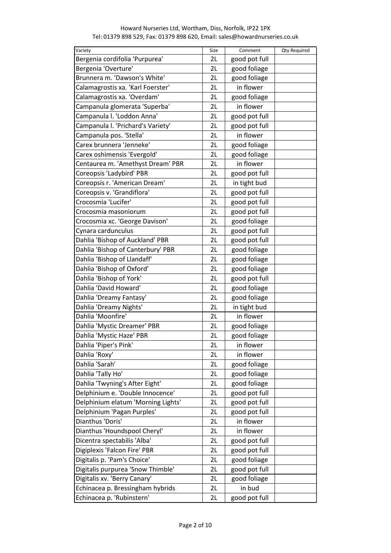| Variety                            | Size | Comment       | <b>Qty Required</b> |
|------------------------------------|------|---------------|---------------------|
| Bergenia cordifolia 'Purpurea'     | 2L   | good pot full |                     |
| Bergenia 'Overture'                | 2L   | good foliage  |                     |
| Brunnera m. 'Dawson's White'       | 2L   | good foliage  |                     |
| Calamagrostis xa. 'Karl Foerster'  | 2L   | in flower     |                     |
| Calamagrostis xa. 'Overdam'        | 2L   | good foliage  |                     |
| Campanula glomerata 'Superba'      | 2L   | in flower     |                     |
| Campanula I. 'Loddon Anna'         | 2L   | good pot full |                     |
| Campanula I. 'Prichard's Variety'  | 2L   | good pot full |                     |
| Campanula pos. 'Stella'            | 2L   | in flower     |                     |
| Carex brunnera 'Jenneke'           | 2L   | good foliage  |                     |
| Carex oshimensis 'Evergold'        | 2L   | good foliage  |                     |
| Centaurea m. 'Amethyst Dream' PBR  | 2L   | in flower     |                     |
| Coreopsis 'Ladybird' PBR           | 2L   | good pot full |                     |
| Coreopsis r. 'American Dream'      | 2L   | in tight bud  |                     |
| Coreopsis v. 'Grandiflora'         | 2L   | good pot full |                     |
| Crocosmia 'Lucifer'                | 2L   | good pot full |                     |
| Crocosmia masoniorum               | 2L   | good pot full |                     |
| Crocosmia xc. 'George Davison'     | 2L   | good foliage  |                     |
| Cynara cardunculus                 | 2L   | good pot full |                     |
| Dahlia 'Bishop of Auckland' PBR    | 2L   |               |                     |
|                                    | 2L   | good pot full |                     |
| Dahlia 'Bishop of Canterbury' PBR  |      | good foliage  |                     |
| Dahlia 'Bishop of Llandaff'        | 2L   | good foliage  |                     |
| Dahlia 'Bishop of Oxford'          | 2L   | good foliage  |                     |
| Dahlia 'Bishop of York'            | 2L   | good pot full |                     |
| Dahlia 'David Howard'              | 2L   | good foliage  |                     |
| Dahlia 'Dreamy Fantasy'            | 2L   | good foliage  |                     |
| Dahlia 'Dreamy Nights'             | 2L   | in tight bud  |                     |
| Dahlia 'Moonfire'                  | 2L   | in flower     |                     |
| Dahlia 'Mystic Dreamer' PBR        | 2L   | good foliage  |                     |
| Dahlia 'Mystic Haze' PBR           | 2L   | good foliage  |                     |
| Dahlia 'Piper's Pink'              | 2L   | in flower     |                     |
| Dahlia 'Roxy'                      | 2L   | in flower     |                     |
| Dahlia 'Sarah'                     | 2L   | good foliage  |                     |
| Dahlia 'Tally Ho'                  | 2L   | good foliage  |                     |
| Dahlia 'Twyning's After Eight'     | 2L   | good foliage  |                     |
| Delphinium e. 'Double Innocence'   | 2L   | good pot full |                     |
| Delphinium elatum 'Morning Lights' | 2L   | good pot full |                     |
| Delphinium 'Pagan Purples'         | 2L   | good pot full |                     |
| Dianthus 'Doris'                   | 2L   | in flower     |                     |
| Dianthus 'Houndspool Cheryl'       | 2L   | in flower     |                     |
| Dicentra spectabilis 'Alba'        | 2L   | good pot full |                     |
| Digiplexis 'Falcon Fire' PBR       | 2L   | good pot full |                     |
| Digitalis p. 'Pam's Choice'        | 2L   | good foliage  |                     |
| Digitalis purpurea 'Snow Thimble'  | 2L   | good pot full |                     |
| Digitalis xv. 'Berry Canary'       | 2L   | good foliage  |                     |
| Echinacea p. Bressingham hybrids   | 2L   | in bud        |                     |
| Echinacea p. 'Rubinstern'          | 2L   | good pot full |                     |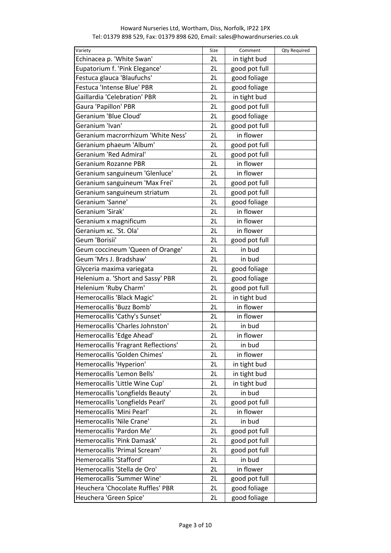| Variety                             | Size | Comment       | Qty Required |
|-------------------------------------|------|---------------|--------------|
| Echinacea p. 'White Swan'           | 2L   | in tight bud  |              |
| Eupatorium f. 'Pink Elegance'       | 2L   | good pot full |              |
| Festuca glauca 'Blaufuchs'          | 2L   | good foliage  |              |
| Festuca 'Intense Blue' PBR          | 2L   | good foliage  |              |
| <b>Gaillardia 'Celebration' PBR</b> | 2L   | in tight bud  |              |
| Gaura 'Papillon' PBR                | 2L   | good pot full |              |
| Geranium 'Blue Cloud'               | 2L   | good foliage  |              |
| Geranium 'Ivan'                     | 2L   | good pot full |              |
| Geranium macrorrhizum 'White Ness'  | 2L   | in flower     |              |
| Geranium phaeum 'Album'             | 2L   | good pot full |              |
| Geranium 'Red Admiral'              | 2L   | good pot full |              |
| Geranium Rozanne PBR                | 2L   | in flower     |              |
| Geranium sanguineum 'Glenluce'      | 2L   | in flower     |              |
| Geranium sanguineum 'Max Frei'      | 2L   | good pot full |              |
| Geranium sanguineum striatum        | 2L   | good pot full |              |
| Geranium 'Sanne'                    | 2L   | good foliage  |              |
| Geranium 'Sirak'                    | 2L   | in flower     |              |
| Geranium x magnificum               | 2L   | in flower     |              |
| Geranium xc. 'St. Ola'              | 2L   | in flower     |              |
| Geum 'Borisii'                      | 2L   | good pot full |              |
| Geum coccineum 'Queen of Orange'    | 2L   | in bud        |              |
| Geum 'Mrs J. Bradshaw'              | 2L   | in bud        |              |
| Glyceria maxima variegata           | 2L   | good foliage  |              |
| Helenium a. 'Short and Sassy' PBR   | 2L   | good foliage  |              |
| Helenium 'Ruby Charm'               | 2L   | good pot full |              |
| Hemerocallis 'Black Magic'          | 2L   | in tight bud  |              |
| Hemerocallis 'Buzz Bomb'            | 2L   | in flower     |              |
| Hemerocallis 'Cathy's Sunset'       | 2L   | in flower     |              |
| Hemerocallis 'Charles Johnston'     | 2L   | in bud        |              |
| Hemerocallis 'Edge Ahead'           | 2L   | in flower     |              |
| Hemerocallis 'Fragrant Reflections' | 2L   | in bud        |              |
| Hemerocallis 'Golden Chimes'        | 2L   | in flower     |              |
| Hemerocallis 'Hyperion'             | 2L   | in tight bud  |              |
| Hemerocallis 'Lemon Bells'          | 2L   | in tight bud  |              |
| Hemerocallis 'Little Wine Cup'      | 2L   | in tight bud  |              |
| Hemerocallis 'Longfields Beauty'    | 2L   | in bud        |              |
| Hemerocallis 'Longfields Pearl'     | 2L   | good pot full |              |
| Hemerocallis 'Mini Pearl'           | 2L   | in flower     |              |
| Hemerocallis 'Nile Crane'           | 2L   | in bud        |              |
| Hemerocallis 'Pardon Me'            | 2L   | good pot full |              |
| Hemerocallis 'Pink Damask'          | 2L   | good pot full |              |
| Hemerocallis 'Primal Scream'        | 2L   | good pot full |              |
| Hemerocallis 'Stafford'             | 2L   | in bud        |              |
| Hemerocallis 'Stella de Oro'        | 2L   | in flower     |              |
| Hemerocallis 'Summer Wine'          | 2L   | good pot full |              |
| Heuchera 'Chocolate Ruffles' PBR    | 2L   | good foliage  |              |
| Heuchera 'Green Spice'              | 2L   | good foliage  |              |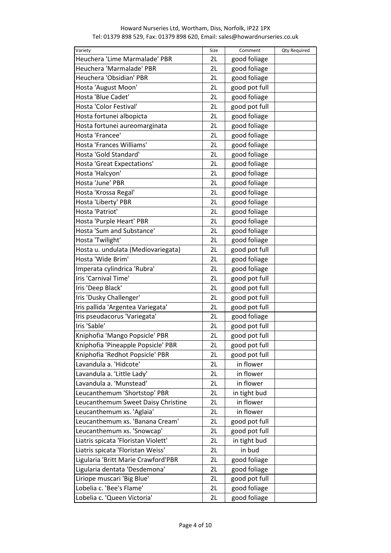| Variety                             | Size | Comment       | <b>Qty Required</b> |
|-------------------------------------|------|---------------|---------------------|
| Heuchera 'Lime Marmalade' PBR       | 2L   | good foliage  |                     |
| Heuchera 'Marmalade' PBR            | 2L   | good foliage  |                     |
| Heuchera 'Obsidian' PBR             | 2L   | good foliage  |                     |
| Hosta 'August Moon'                 | 2L   | good pot full |                     |
| Hosta 'Blue Cadet'                  | 2L   | good foliage  |                     |
| Hosta 'Color Festival'              | 2L   | good pot full |                     |
| Hosta fortunei albopicta            | 2L   | good foliage  |                     |
| Hosta fortunei aureomarginata       | 2L   | good foliage  |                     |
| Hosta 'Francee'                     | 2L   | good foliage  |                     |
| Hosta 'Frances Williams'            | 2L   | good foliage  |                     |
| Hosta 'Gold Standard'               | 2L   | good foliage  |                     |
| Hosta 'Great Expectations'          | 2L   | good foliage  |                     |
| Hosta 'Halcyon'                     | 2L   | good foliage  |                     |
| Hosta 'June' PBR                    | 2L   | good foliage  |                     |
| Hosta 'Krossa Regal'                | 2L   | good foliage  |                     |
| Hosta 'Liberty' PBR                 | 2L   | good foliage  |                     |
| Hosta 'Patriot'                     | 2L   | good foliage  |                     |
| Hosta 'Purple Heart' PBR            | 2L   | good foliage  |                     |
| Hosta 'Sum and Substance'           | 2L   | good foliage  |                     |
| Hosta 'Twilight'                    | 2L   | good foliage  |                     |
| Hosta u. undulata (Mediovariegata)  | 2L   | good pot full |                     |
| Hosta 'Wide Brim'                   | 2L   | good foliage  |                     |
| Imperata cylindrica 'Rubra'         | 2L   | good foliage  |                     |
| Iris 'Carnival Time'                | 2L   | good pot full |                     |
| Iris 'Deep Black'                   | 2L   | good pot full |                     |
| Iris 'Dusky Challenger'             | 2L   | good pot full |                     |
| Iris pallida 'Argentea Variegata'   | 2L   | good pot full |                     |
| Iris pseudacorus 'Variegata'        | 2L   | good foliage  |                     |
| Iris 'Sable'                        | 2L   | good pot full |                     |
|                                     | 2L   |               |                     |
| Kniphofia 'Mango Popsicle' PBR      |      | good pot full |                     |
| Kniphofia 'Pineapple Popsicle' PBR  | 2L   | good pot full |                     |
| Kniphofia 'Redhot Popsicle' PBR     | 2L   | good pot full |                     |
| Lavandula a. 'Hidcote'              | 2L   | in flower     |                     |
| Lavandula a. 'Little Lady'          | 2L   | in flower     |                     |
| Lavandula a. 'Munstead'             | 2L   | in flower     |                     |
| Leucanthemum 'Shortstop' PBR        | 2L   | in tight bud  |                     |
| Leucanthemum Sweet Daisy Christine  | 2L   | in flower     |                     |
| Leucanthemum xs. 'Aglaia'           | 2L   | in flower     |                     |
| Leucanthemum xs. 'Banana Cream'     | 2L   | good pot full |                     |
| Leucanthemum xs. 'Snowcap'          | 2L   | good pot full |                     |
| Liatris spicata 'Floristan Violett' | 2L   | in tight bud  |                     |
| Liatris spicata 'Floristan Weiss'   | 2L   | in bud        |                     |
| Ligularia 'Britt Marie Crawford'PBR | 2L   | good foliage  |                     |
| Ligularia dentata 'Desdemona'       | 2L   | good foliage  |                     |
| Liriope muscari 'Big Blue'          | 2L   | good pot full |                     |
| Lobelia c. 'Bee's Flame'            | 2L   | good foliage  |                     |
| Lobelia c. 'Queen Victoria'         | 2L   | good foliage  |                     |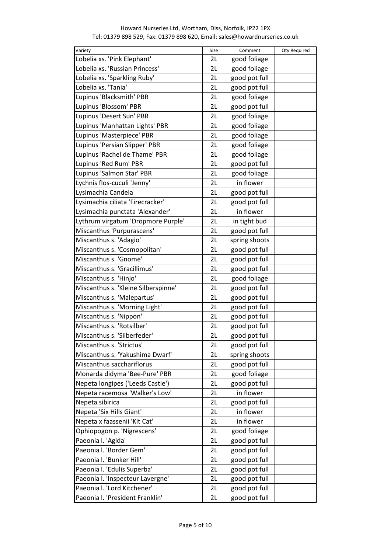# Variety **Size Comment Algebra**nd Comment Cty Required Lobelia xs. 'Pink Elephant' 2L good foliage Lobelia xs. 'Russian Princess' <br>2L | good foliage Lobelia xs. 'Sparkling Ruby' 2L good pot full Lobelia xs. 'Tania' 2L | good pot full Lupinus 'Blacksmith' PBR 2L | good foliage Lupinus 'Blossom' PBR 2L good pot full Lupinus 'Desert Sun' PBR 2L good foliage Lupinus 'Manhattan Lights' PBR  $\vert$  2L good foliage Lupinus 'Masterpiece' PBR 2L | good foliage Lupinus 'Persian Slipper' PBR  $\vert$  2L  $\vert$  good foliage Lupinus 'Rachel de Thame' PBR  $\vert$  2L  $\vert$  good foliage Lupinus 'Red Rum' PBR 2L good pot full Lupinus 'Salmon Star' PBR<br>
and the set of the good foliage Lychnis flos-cuculi 'Jenny' 2L in flower Lysimachia Candela 2L | good pot full Lysimachia ciliata 'Firecracker'  $\vert$  2L good pot full Lysimachia punctata 'Alexander' | 2L | in flower Lythrum virgatum 'Dropmore Purple' | 2L | in tight bud Miscanthus 'Purpurascens' 2L | good pot full Miscanthus s. 'Adagio' | 2L | spring shoots Miscanthus s. 'Cosmopolitan' 2L good pot full Miscanthus s. 'Gnome' 2L good pot full Miscanthus s. 'Gracillimus' | 2L | good pot full Miscanthus s. 'Hinjo' 2L | good foliage Miscanthus s. 'Kleine Silberspinne' 2L | good pot full Miscanthus s. 'Malepartus' | 2L | good pot full Miscanthus s. 'Morning Light' 2L good pot full Miscanthus s. 'Nippon' 2L good pot full Miscanthus s. 'Rotsilber' 2L | good pot full Miscanthus s. 'Silberfeder' 2L good pot full Miscanthus s. 'Strictus' 2L good pot full Miscanthus s. 'Yakushima Dwarf' 2L spring shoots Miscanthus sacchariflorus 2L good pot full Monarda didyma 'Bee-Pure' PBR 2L | good foliage Nepeta longipes ('Leeds Castle') | 2L | good pot full Nepeta racemosa 'Walker's Low' 2L in flower Nepeta sibirica 2L good pot full Nepeta 'Six Hills Giant' 2L in flower Nepeta x faassenii 'Kit Cat' | 2L | in flower Ophiopogon p. 'Nigrescens' 2L good foliage Paeonia I. 'Agida' 2L | good pot full Paeonia I. 'Border Gem' 2L | good pot full Paeonia I. 'Bunker Hill' 2L good pot full Paeonia I. 'Edulis Superba' | 2L | good pot full Paeonia I. 'Inspecteur Lavergne' | 2L | good pot full Paeonia I. 'Lord Kitchener' 2L good pot full Paeonia I. 'President Franklin' | 2L | good pot full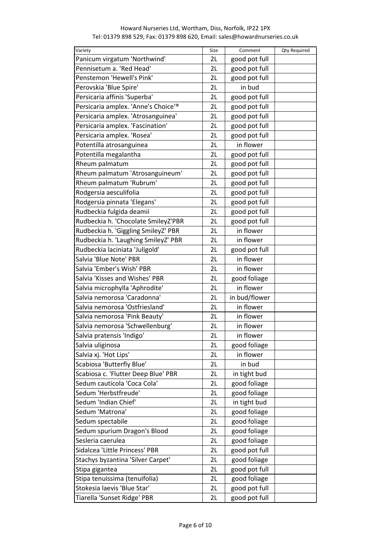| Variety                             | Size | Comment       | <b>Qty Required</b> |
|-------------------------------------|------|---------------|---------------------|
| Panicum virgatum 'Northwind'        | 2L   | good pot full |                     |
| Pennisetum a. 'Red Head'            | 2L   | good pot full |                     |
| Penstemon 'Hewell's Pink'           | 2L   | good pot full |                     |
| Perovskia 'Blue Spire'              | 2L   | in bud        |                     |
| Persicaria affinis 'Superba'        | 2L   | good pot full |                     |
| Persicaria amplex. 'Anne's Choice'® | 2L   | good pot full |                     |
| Persicaria amplex. 'Atrosanguinea'  | 2L   | good pot full |                     |
| Persicaria amplex. 'Fascination'    | 2L   | good pot full |                     |
| Persicaria amplex. 'Rosea'          | 2L   | good pot full |                     |
| Potentilla atrosanguinea            | 2L   | in flower     |                     |
| Potentilla megalantha               | 2L   | good pot full |                     |
| Rheum palmatum                      | 2L   | good pot full |                     |
| Rheum palmatum 'Atrosanguineum'     | 2L   | good pot full |                     |
| Rheum palmatum 'Rubrum'             | 2L   | good pot full |                     |
| Rodgersia aesculifolia              | 2L   | good pot full |                     |
| Rodgersia pinnata 'Elegans'         | 2L   | good pot full |                     |
|                                     | 2L   |               |                     |
| Rudbeckia fulgida deamii            |      | good pot full |                     |
| Rudbeckia h. 'Chocolate SmileyZ'PBR | 2L   | good pot full |                     |
| Rudbeckia h. 'Giggling SmileyZ' PBR | 2L   | in flower     |                     |
| Rudbeckia h. 'Laughing SmileyZ' PBR | 2L   | in flower     |                     |
| Rudbeckia laciniata 'Juligold'      | 2L   | good pot full |                     |
| Salvia 'Blue Note' PBR              | 2L   | in flower     |                     |
| Salvia 'Ember's Wish' PBR           | 2L   | in flower     |                     |
| Salvia 'Kisses and Wishes' PBR      | 2L   | good foliage  |                     |
| Salvia microphylla 'Aphrodite'      | 2L   | in flower     |                     |
| Salvia nemorosa 'Caradonna'         | 2L   | in bud/flower |                     |
| Salvia nemorosa 'Ostfriesland'      | 2L   | in flower     |                     |
| Salvia nemorosa 'Pink Beauty'       | 2L   | in flower     |                     |
| Salvia nemorosa 'Schwellenburg'     | 2L   | in flower     |                     |
| Salvia pratensis 'Indigo'           | 2L   | in flower     |                     |
| Salvia uliginosa                    | 2L   | good foliage  |                     |
| Salvia xj. 'Hot Lips'               | 2L   | in flower     |                     |
| Scabiosa 'Butterfly Blue'           | 2L   | in bud        |                     |
| Scabiosa c. 'Flutter Deep Blue' PBR | 2L   | in tight bud  |                     |
| Sedum cauticola 'Coca Cola'         | 2L   | good foliage  |                     |
| Sedum 'Herbstfreude'                | 2L   | good foliage  |                     |
| Sedum 'Indian Chief'                | 2L   | in tight bud  |                     |
| Sedum 'Matrona'                     | 2L   | good foliage  |                     |
| Sedum spectabile                    | 2L   | good foliage  |                     |
| Sedum spurium Dragon's Blood        | 2L   | good foliage  |                     |
| Sesleria caerulea                   | 2L   | good foliage  |                     |
| Sidalcea 'Little Princess' PBR      | 2L   | good pot full |                     |
| Stachys byzantina 'Silver Carpet'   | 2L   | good foliage  |                     |
| Stipa gigantea                      | 2L   | good pot full |                     |
| Stipa tenuissima (tenuifolia)       | 2L   | good foliage  |                     |
| Stokesia laevis 'Blue Star'         | 2L   | good pot full |                     |
| Tiarella 'Sunset Ridge' PBR         | 2L   | good pot full |                     |
|                                     |      |               |                     |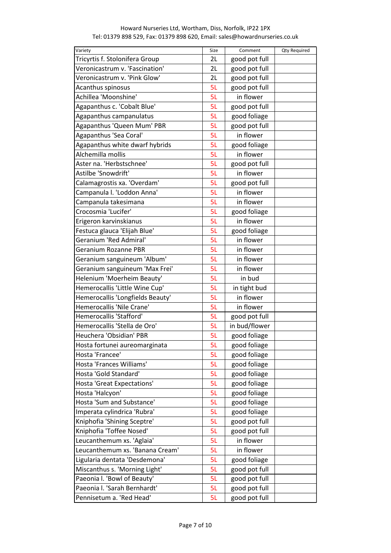| Variety                          | Size | Comment       | <b>Qty Required</b> |
|----------------------------------|------|---------------|---------------------|
| Tricyrtis f. Stolonifera Group   | 2L   | good pot full |                     |
| Veronicastrum v. 'Fascination'   | 2L   | good pot full |                     |
| Veronicastrum v. 'Pink Glow'     | 2L   | good pot full |                     |
| Acanthus spinosus                | 5L   | good pot full |                     |
| Achillea 'Moonshine'             | 5L   | in flower     |                     |
| Agapanthus c. 'Cobalt Blue'      | 5L   | good pot full |                     |
| Agapanthus campanulatus          | 5L   | good foliage  |                     |
| Agapanthus 'Queen Mum' PBR       | 5L   | good pot full |                     |
| Agapanthus 'Sea Coral'           | 5L   | in flower     |                     |
| Agapanthus white dwarf hybrids   | 5L   | good foliage  |                     |
| Alchemilla mollis                | 5L   | in flower     |                     |
| Aster na. 'Herbstschnee'         | 5L   | good pot full |                     |
| Astilbe 'Snowdrift'              | 5L   | in flower     |                     |
| Calamagrostis xa. 'Overdam'      | 5L   | good pot full |                     |
| Campanula I. 'Loddon Anna'       | 5L   | in flower     |                     |
| Campanula takesimana             | 5L   | in flower     |                     |
| Crocosmia 'Lucifer'              | 5L   | good foliage  |                     |
| Erigeron karvinskianus           | 5L   | in flower     |                     |
| Festuca glauca 'Elijah Blue'     | 5L   | good foliage  |                     |
| Geranium 'Red Admiral'           | 5L   | in flower     |                     |
| Geranium Rozanne PBR             | 5L   | in flower     |                     |
| Geranium sanguineum 'Album'      | 5L   | in flower     |                     |
| Geranium sanguineum 'Max Frei'   | 5L   | in flower     |                     |
| Helenium 'Moerheim Beauty'       | 5L   | in bud        |                     |
| Hemerocallis 'Little Wine Cup'   | 5L   | in tight bud  |                     |
| Hemerocallis 'Longfields Beauty' | 5L   | in flower     |                     |
| Hemerocallis 'Nile Crane'        | 5L   | in flower     |                     |
| Hemerocallis 'Stafford'          | 5L   | good pot full |                     |
| Hemerocallis 'Stella de Oro'     | 5L   | in bud/flower |                     |
| Heuchera 'Obsidian' PBR          | 5L   | good foliage  |                     |
| Hosta fortunei aureomarginata    | 5L   | good foliage  |                     |
| Hosta 'Francee'                  | 5L   | good foliage  |                     |
| Hosta 'Frances Williams'         | 5L   | good foliage  |                     |
| Hosta 'Gold Standard'            | 5L   | good foliage  |                     |
| Hosta 'Great Expectations'       | 5L   | good foliage  |                     |
| Hosta 'Halcyon'                  | 5L   | good foliage  |                     |
| Hosta 'Sum and Substance'        | 5L   | good foliage  |                     |
| Imperata cylindrica 'Rubra'      | 5L   | good foliage  |                     |
| Kniphofia 'Shining Sceptre'      | 5L   | good pot full |                     |
| Kniphofia 'Toffee Nosed'         | 5L   | good pot full |                     |
| Leucanthemum xs. 'Aglaia'        | 5L   | in flower     |                     |
| Leucanthemum xs. 'Banana Cream'  | 5L   | in flower     |                     |
| Ligularia dentata 'Desdemona'    | 5L   | good foliage  |                     |
| Miscanthus s. 'Morning Light'    | 5L   | good pot full |                     |
| Paeonia I. 'Bowl of Beauty'      | 5L   | good pot full |                     |
| Paeonia I. 'Sarah Bernhardt'     | 5L   | good pot full |                     |
| Pennisetum a. 'Red Head'         | 5L   | good pot full |                     |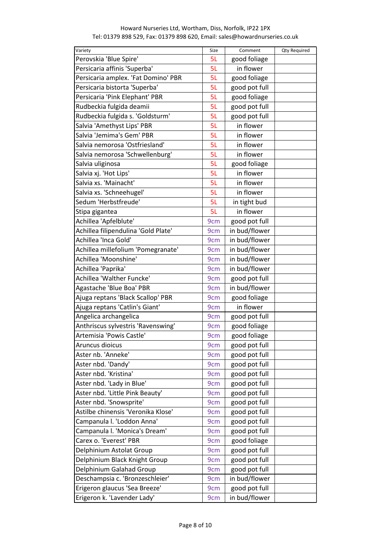| Variety                             | Size            | Comment       | <b>Qty Required</b> |
|-------------------------------------|-----------------|---------------|---------------------|
| Perovskia 'Blue Spire'              | 5L              | good foliage  |                     |
| Persicaria affinis 'Superba'        | 5L              | in flower     |                     |
| Persicaria amplex. 'Fat Domino' PBR | 5L              | good foliage  |                     |
| Persicaria bistorta 'Superba'       | 5L              | good pot full |                     |
| Persicaria 'Pink Elephant' PBR      | 5L              | good foliage  |                     |
| Rudbeckia fulgida deamii            | 5L              | good pot full |                     |
| Rudbeckia fulgida s. 'Goldsturm'    | 5L              | good pot full |                     |
| Salvia 'Amethyst Lips' PBR          | 5L              | in flower     |                     |
| Salvia 'Jemima's Gem' PBR           | 5L              | in flower     |                     |
| Salvia nemorosa 'Ostfriesland'      | 5L              | in flower     |                     |
| Salvia nemorosa 'Schwellenburg'     | 5L              | in flower     |                     |
| Salvia uliginosa                    | 5L              | good foliage  |                     |
| Salvia xj. 'Hot Lips'               | 5L              | in flower     |                     |
| Salvia xs. 'Mainacht'               | 5L              | in flower     |                     |
| Salvia xs. 'Schneehugel'            | 5L              | in flower     |                     |
| Sedum 'Herbstfreude'                | 5L              | in tight bud  |                     |
| Stipa gigantea                      | 5L              | in flower     |                     |
| Achillea 'Apfelblute'               | 9 <sub>cm</sub> | good pot full |                     |
| Achillea filipendulina 'Gold Plate' | 9 <sub>cm</sub> | in bud/flower |                     |
| Achillea 'Inca Gold'                | 9 <sub>cm</sub> | in bud/flower |                     |
| Achillea millefolium 'Pomegranate'  | 9 <sub>cm</sub> | in bud/flower |                     |
| Achillea 'Moonshine'                | 9cm             | in bud/flower |                     |
| Achillea 'Paprika'                  | 9 <sub>cm</sub> | in bud/flower |                     |
| Achillea 'Walther Funcke'           | 9 <sub>cm</sub> | good pot full |                     |
| Agastache 'Blue Boa' PBR            | 9 <sub>cm</sub> | in bud/flower |                     |
| Ajuga reptans 'Black Scallop' PBR   | 9cm             | good foliage  |                     |
| Ajuga reptans 'Catlin's Giant'      | 9 <sub>cm</sub> | in flower     |                     |
| Angelica archangelica               | 9cm             | good pot full |                     |
| Anthriscus sylvestris 'Ravenswing'  | 9 <sub>cm</sub> | good foliage  |                     |
| Artemisia 'Powis Castle'            | 9 <sub>cm</sub> | good foliage  |                     |
| Aruncus dioicus                     | 9 <sub>cm</sub> | good pot full |                     |
| Aster nb. 'Anneke'                  | 9 <sub>cm</sub> | good pot full |                     |
| Aster nbd. 'Dandy'                  | 9 <sub>cm</sub> | good pot full |                     |
| Aster nbd. 'Kristina'               | 9 <sub>cm</sub> | good pot full |                     |
| Aster nbd. 'Lady in Blue'           | 9 <sub>cm</sub> | good pot full |                     |
| Aster nbd. 'Little Pink Beauty'     | 9 <sub>cm</sub> | good pot full |                     |
| Aster nbd. 'Snowsprite'             | 9 <sub>cm</sub> | good pot full |                     |
| Astilbe chinensis 'Veronika Klose'  | 9 <sub>cm</sub> | good pot full |                     |
| Campanula I. 'Loddon Anna'          | 9 <sub>cm</sub> | good pot full |                     |
| Campanula I. 'Monica's Dream'       | 9 <sub>cm</sub> | good pot full |                     |
| Carex o. 'Everest' PBR              | 9 <sub>cm</sub> | good foliage  |                     |
| Delphinium Astolat Group            | 9cm             | good pot full |                     |
| Delphinium Black Knight Group       | 9 <sub>cm</sub> | good pot full |                     |
| Delphinium Galahad Group            | 9 <sub>cm</sub> | good pot full |                     |
| Deschampsia c. 'Bronzeschleier'     | 9cm             | in bud/flower |                     |
| Erigeron glaucus 'Sea Breeze'       | 9 <sub>cm</sub> | good pot full |                     |
| Erigeron k. 'Lavender Lady'         | 9 <sub>cm</sub> | in bud/flower |                     |
|                                     |                 |               |                     |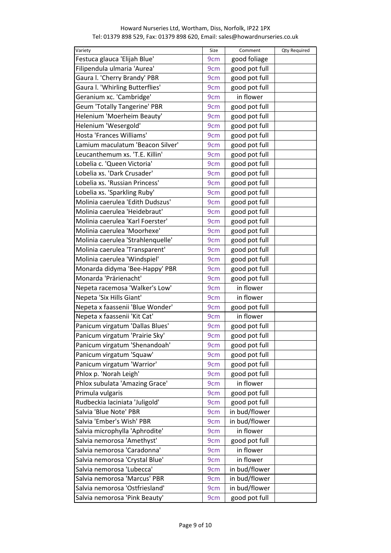| Variety                             | Size            | Comment       | <b>Qty Required</b> |
|-------------------------------------|-----------------|---------------|---------------------|
| Festuca glauca 'Elijah Blue'        | 9 <sub>cm</sub> | good foliage  |                     |
| Filipendula ulmaria 'Aurea'         | 9 <sub>cm</sub> | good pot full |                     |
| Gaura I. 'Cherry Brandy' PBR        | 9 <sub>cm</sub> | good pot full |                     |
| Gaura I. 'Whirling Butterflies'     | 9 <sub>cm</sub> | good pot full |                     |
| Geranium xc. 'Cambridge'            | 9cm             | in flower     |                     |
| <b>Geum 'Totally Tangerine' PBR</b> | 9 <sub>cm</sub> | good pot full |                     |
| Helenium 'Moerheim Beauty'          | 9 <sub>cm</sub> | good pot full |                     |
| Helenium 'Wesergold'                | 9 <sub>cm</sub> | good pot full |                     |
| Hosta 'Frances Williams'            | 9 <sub>cm</sub> | good pot full |                     |
| Lamium maculatum 'Beacon Silver'    | 9 <sub>cm</sub> | good pot full |                     |
| Leucanthemum xs. 'T.E. Killin'      | 9 <sub>cm</sub> | good pot full |                     |
| Lobelia c. 'Queen Victoria'         | 9cm             | good pot full |                     |
| Lobelia xs. 'Dark Crusader'         | 9 <sub>cm</sub> | good pot full |                     |
| Lobelia xs. 'Russian Princess'      | 9cm             | good pot full |                     |
| Lobelia xs. 'Sparkling Ruby'        | 9cm             | good pot full |                     |
| Molinia caerulea 'Edith Dudszus'    | 9 <sub>cm</sub> | good pot full |                     |
| Molinia caerulea 'Heidebraut'       | 9cm             | good pot full |                     |
|                                     |                 |               |                     |
| Molinia caerulea 'Karl Foerster'    | 9 <sub>cm</sub> | good pot full |                     |
| Molinia caerulea 'Moorhexe'         | 9 <sub>cm</sub> | good pot full |                     |
| Molinia caerulea 'Strahlenquelle'   | 9 <sub>cm</sub> | good pot full |                     |
| Molinia caerulea 'Transparent'      | 9 <sub>cm</sub> | good pot full |                     |
| Molinia caerulea 'Windspiel'        | 9 <sub>cm</sub> | good pot full |                     |
| Monarda didyma 'Bee-Happy' PBR      | 9 <sub>cm</sub> | good pot full |                     |
| Monarda 'Prärienacht'               | 9cm             | good pot full |                     |
| Nepeta racemosa 'Walker's Low'      | 9 <sub>cm</sub> | in flower     |                     |
| Nepeta 'Six Hills Giant'            | 9cm             | in flower     |                     |
| Nepeta x faassenii 'Blue Wonder'    | 9 <sub>cm</sub> | good pot full |                     |
| Nepeta x faassenii 'Kit Cat'        | 9cm             | in flower     |                     |
| Panicum virgatum 'Dallas Blues'     | 9cm             | good pot full |                     |
| Panicum virgatum 'Prairie Sky'      | 9 <sub>cm</sub> | good pot full |                     |
| Panicum virgatum 'Shenandoah'       | 9 <sub>cm</sub> | good pot full |                     |
| Panicum virgatum 'Squaw'            | 9 <sub>cm</sub> | good pot full |                     |
| Panicum virgatum 'Warrior'          | 9 <sub>cm</sub> | good pot full |                     |
| Phlox p. 'Norah Leigh'              | 9 <sub>cm</sub> | good pot full |                     |
| Phlox subulata 'Amazing Grace'      | 9 <sub>cm</sub> | in flower     |                     |
| Primula vulgaris                    | 9 <sub>cm</sub> | good pot full |                     |
| Rudbeckia laciniata 'Juligold'      | 9 <sub>cm</sub> | good pot full |                     |
| Salvia 'Blue Note' PBR              | 9cm             | in bud/flower |                     |
| Salvia 'Ember's Wish' PBR           | 9 <sub>cm</sub> | in bud/flower |                     |
| Salvia microphylla 'Aphrodite'      | 9 <sub>cm</sub> | in flower     |                     |
| Salvia nemorosa 'Amethyst'          | 9 <sub>cm</sub> | good pot full |                     |
| Salvia nemorosa 'Caradonna'         | 9 <sub>cm</sub> | in flower     |                     |
| Salvia nemorosa 'Crystal Blue'      | 9 <sub>cm</sub> | in flower     |                     |
| Salvia nemorosa 'Lubecca'           | 9 <sub>cm</sub> | in bud/flower |                     |
| Salvia nemorosa 'Marcus' PBR        | 9 <sub>cm</sub> | in bud/flower |                     |
| Salvia nemorosa 'Ostfriesland'      |                 | in bud/flower |                     |
|                                     | 9 <sub>cm</sub> |               |                     |
| Salvia nemorosa 'Pink Beauty'       | 9 <sub>cm</sub> | good pot full |                     |